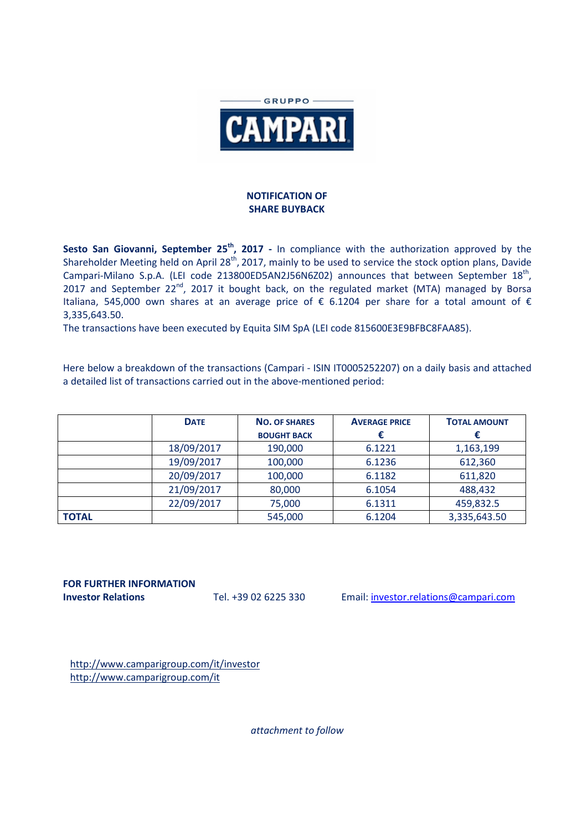

## **NOTIFICATION OF SHARE BUYBACK**

Sesto San Giovanni, September 25<sup>th</sup>, 2017 - In compliance with the authorization approved by the Shareholder Meeting held on April 28<sup>th</sup>, 2017, mainly to be used to service the stock option plans, Davide Campari-Milano S.p.A. (LEI code 213800ED5AN2J56N6Z02) announces that between September  $18<sup>th</sup>$ , 2017 and September 22<sup>nd</sup>, 2017 it bought back, on the regulated market (MTA) managed by Borsa Italiana, 545,000 own shares at an average price of € 6.1204 per share for a total amount of € 3,335,643.50.

The transactions have been executed by Equita SIM SpA (LEI code 815600E3E9BFBC8FAA85).

Here below a breakdown of the transactions (Campari - ISIN IT0005252207) on a daily basis and attached a detailed list of transactions carried out in the above-mentioned period:

|              | <b>DATE</b> | <b>NO. OF SHARES</b><br><b>BOUGHT BACK</b> | <b>AVERAGE PRICE</b> | <b>TOTAL AMOUNT</b> |
|--------------|-------------|--------------------------------------------|----------------------|---------------------|
|              | 18/09/2017  | 190,000                                    | 6.1221               | 1,163,199           |
|              | 19/09/2017  | 100,000                                    | 6.1236               | 612,360             |
|              | 20/09/2017  | 100,000                                    | 6.1182               | 611,820             |
|              | 21/09/2017  | 80,000                                     | 6.1054               | 488,432             |
|              | 22/09/2017  | 75,000                                     | 6.1311               | 459,832.5           |
| <b>TOTAL</b> |             | 545,000                                    | 6.1204               | 3,335,643.50        |

**FOR FURTHER INFORMATION** 

**Investor Relations** Tel. +39 02 6225 330 Email: investor.relations@campari.com

http://www.camparigroup.com/it/investor http://www.camparigroup.com/it

*attachment to follow*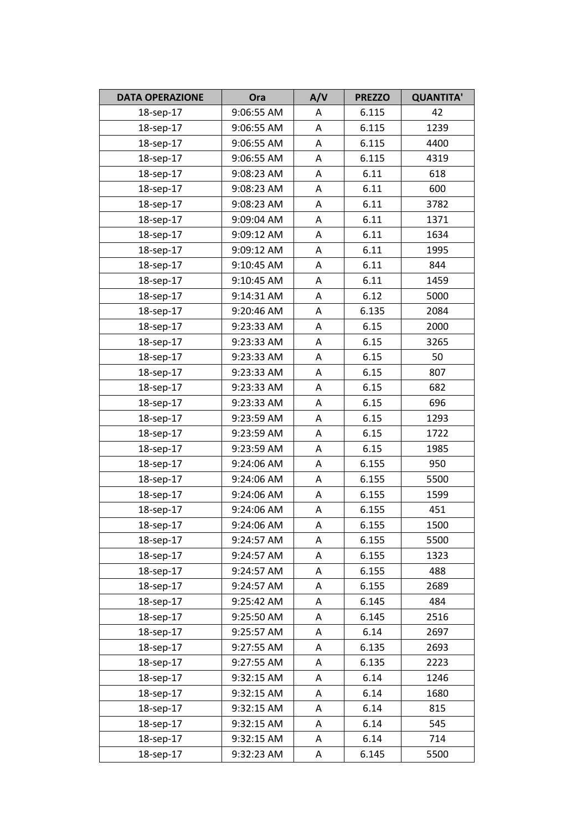| <b>DATA OPERAZIONE</b> | Ora        | A/V         | <b>PREZZO</b> | <b>QUANTITA'</b> |
|------------------------|------------|-------------|---------------|------------------|
| 18-sep-17              | 9:06:55 AM | Α           | 6.115         | 42               |
| 18-sep-17              | 9:06:55 AM | Α           | 6.115         | 1239             |
| 18-sep-17              | 9:06:55 AM | A           | 6.115         | 4400             |
| 18-sep-17              | 9:06:55 AM | Α           | 6.115         | 4319             |
| 18-sep-17              | 9:08:23 AM | Α           | 6.11          | 618              |
| 18-sep-17              | 9:08:23 AM | A           | 6.11          | 600              |
| 18-sep-17              | 9:08:23 AM | Α           | 6.11          | 3782             |
| 18-sep-17              | 9:09:04 AM | Α           | 6.11          | 1371             |
| 18-sep-17              | 9:09:12 AM | Α           | 6.11          | 1634             |
| 18-sep-17              | 9:09:12 AM | Α           | 6.11          | 1995             |
| 18-sep-17              | 9:10:45 AM | Α           | 6.11          | 844              |
| 18-sep-17              | 9:10:45 AM | A           | 6.11          | 1459             |
| 18-sep-17              | 9:14:31 AM | Α           | 6.12          | 5000             |
| 18-sep-17              | 9:20:46 AM | Α           | 6.135         | 2084             |
| 18-sep-17              | 9:23:33 AM | Α           | 6.15          | 2000             |
| 18-sep-17              | 9:23:33 AM | Α           | 6.15          | 3265             |
| 18-sep-17              | 9:23:33 AM | A           | 6.15          | 50               |
| 18-sep-17              | 9:23:33 AM | Α           | 6.15          | 807              |
| 18-sep-17              | 9:23:33 AM | Α           | 6.15          | 682              |
| 18-sep-17              | 9:23:33 AM | Α           | 6.15          | 696              |
| 18-sep-17              | 9:23:59 AM | Α           | 6.15          | 1293             |
| 18-sep-17              | 9:23:59 AM | Α           | 6.15          | 1722             |
| 18-sep-17              | 9:23:59 AM | Α           | 6.15          | 1985             |
| 18-sep-17              | 9:24:06 AM | A           | 6.155         | 950              |
| 18-sep-17              | 9:24:06 AM | Α           | 6.155         | 5500             |
| 18-sep-17              | 9:24:06 AM | Α           | 6.155         | 1599             |
| 18-sep-17              | 9:24:06 AM | A           | 6.155         | 451              |
| 18-sep-17              | 9:24:06 AM | $\mathsf A$ | 6.155         | 1500             |
| 18-sep-17              | 9:24:57 AM | Α           | 6.155         | 5500             |
| 18-sep-17              | 9:24:57 AM | Α           | 6.155         | 1323             |
| 18-sep-17              | 9:24:57 AM | А           | 6.155         | 488              |
| 18-sep-17              | 9:24:57 AM | Α           | 6.155         | 2689             |
| 18-sep-17              | 9:25:42 AM | Α           | 6.145         | 484              |
| 18-sep-17              | 9:25:50 AM | Α           | 6.145         | 2516             |
| 18-sep-17              | 9:25:57 AM | А           | 6.14          | 2697             |
| 18-sep-17              | 9:27:55 AM | A           | 6.135         | 2693             |
| 18-sep-17              | 9:27:55 AM | Α           | 6.135         | 2223             |
| 18-sep-17              | 9:32:15 AM | Α           | 6.14          | 1246             |
| 18-sep-17              | 9:32:15 AM | А           | 6.14          | 1680             |
| 18-sep-17              | 9:32:15 AM | Α           | 6.14          | 815              |
| 18-sep-17              | 9:32:15 AM | Α           | 6.14          | 545              |
| 18-sep-17              | 9:32:15 AM | A           | 6.14          | 714              |
| 18-sep-17              | 9:32:23 AM | Α           | 6.145         | 5500             |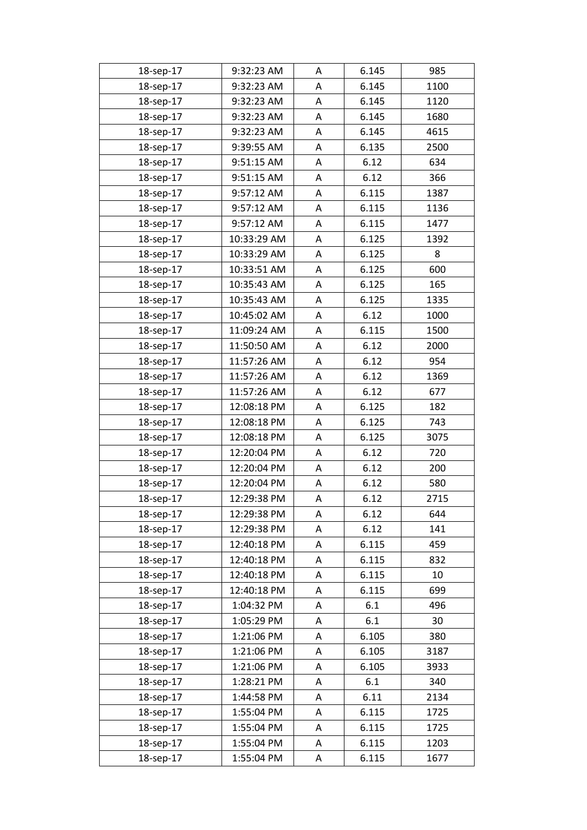| 18-sep-17 | 9:32:23 AM  | A | 6.145 | 985  |
|-----------|-------------|---|-------|------|
| 18-sep-17 | 9:32:23 AM  | Α | 6.145 | 1100 |
| 18-sep-17 | 9:32:23 AM  | Α | 6.145 | 1120 |
| 18-sep-17 | 9:32:23 AM  | A | 6.145 | 1680 |
| 18-sep-17 | 9:32:23 AM  | Α | 6.145 | 4615 |
| 18-sep-17 | 9:39:55 AM  | A | 6.135 | 2500 |
| 18-sep-17 | 9:51:15 AM  | Α | 6.12  | 634  |
| 18-sep-17 | 9:51:15 AM  | Α | 6.12  | 366  |
| 18-sep-17 | 9:57:12 AM  | Α | 6.115 | 1387 |
| 18-sep-17 | 9:57:12 AM  | A | 6.115 | 1136 |
| 18-sep-17 | 9:57:12 AM  | A | 6.115 | 1477 |
| 18-sep-17 | 10:33:29 AM | Α | 6.125 | 1392 |
| 18-sep-17 | 10:33:29 AM | A | 6.125 | 8    |
| 18-sep-17 | 10:33:51 AM | A | 6.125 | 600  |
| 18-sep-17 | 10:35:43 AM | Α | 6.125 | 165  |
| 18-sep-17 | 10:35:43 AM | A | 6.125 | 1335 |
| 18-sep-17 | 10:45:02 AM | Α | 6.12  | 1000 |
| 18-sep-17 | 11:09:24 AM | Α | 6.115 | 1500 |
| 18-sep-17 | 11:50:50 AM | Α | 6.12  | 2000 |
| 18-sep-17 | 11:57:26 AM | A | 6.12  | 954  |
| 18-sep-17 | 11:57:26 AM | A | 6.12  | 1369 |
| 18-sep-17 | 11:57:26 AM | A | 6.12  | 677  |
| 18-sep-17 | 12:08:18 PM | A | 6.125 | 182  |
| 18-sep-17 | 12:08:18 PM | Α | 6.125 | 743  |
| 18-sep-17 | 12:08:18 PM | A | 6.125 | 3075 |
| 18-sep-17 | 12:20:04 PM | A | 6.12  | 720  |
| 18-sep-17 | 12:20:04 PM | A | 6.12  | 200  |
| 18-sep-17 | 12:20:04 PM | A | 6.12  | 580  |
| 18-sep-17 | 12:29:38 PM | Α | 6.12  | 2715 |
| 18-sep-17 | 12:29:38 PM | Α | 6.12  | 644  |
| 18-sep-17 | 12:29:38 PM | Α | 6.12  | 141  |
| 18-sep-17 | 12:40:18 PM | Α | 6.115 | 459  |
| 18-sep-17 | 12:40:18 PM | A | 6.115 | 832  |
| 18-sep-17 | 12:40:18 PM | Α | 6.115 | 10   |
| 18-sep-17 | 12:40:18 PM | Α | 6.115 | 699  |
| 18-sep-17 | 1:04:32 PM  | Α | 6.1   | 496  |
| 18-sep-17 | 1:05:29 PM  | A | 6.1   | 30   |
| 18-sep-17 | 1:21:06 PM  | Α | 6.105 | 380  |
| 18-sep-17 | 1:21:06 PM  | Α | 6.105 | 3187 |
| 18-sep-17 | 1:21:06 PM  | Α | 6.105 | 3933 |
| 18-sep-17 | 1:28:21 PM  | Α | 6.1   | 340  |
| 18-sep-17 | 1:44:58 PM  | Α | 6.11  | 2134 |
| 18-sep-17 | 1:55:04 PM  | Α | 6.115 | 1725 |
| 18-sep-17 | 1:55:04 PM  | Α | 6.115 | 1725 |
| 18-sep-17 | 1:55:04 PM  | Α | 6.115 | 1203 |
| 18-sep-17 | 1:55:04 PM  | Α | 6.115 | 1677 |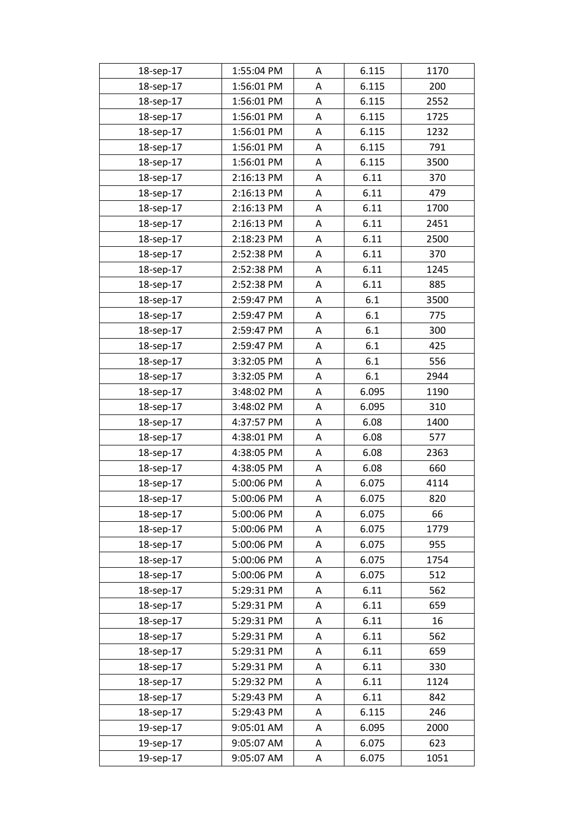| 18-sep-17 | 1:55:04 PM | A | 6.115 | 1170 |
|-----------|------------|---|-------|------|
| 18-sep-17 | 1:56:01 PM | A | 6.115 | 200  |
| 18-sep-17 | 1:56:01 PM | A | 6.115 | 2552 |
| 18-sep-17 | 1:56:01 PM | A | 6.115 | 1725 |
| 18-sep-17 | 1:56:01 PM | A | 6.115 | 1232 |
| 18-sep-17 | 1:56:01 PM | A | 6.115 | 791  |
| 18-sep-17 | 1:56:01 PM | Α | 6.115 | 3500 |
| 18-sep-17 | 2:16:13 PM | A | 6.11  | 370  |
| 18-sep-17 | 2:16:13 PM | A | 6.11  | 479  |
| 18-sep-17 | 2:16:13 PM | Α | 6.11  | 1700 |
| 18-sep-17 | 2:16:13 PM | A | 6.11  | 2451 |
| 18-sep-17 | 2:18:23 PM | A | 6.11  | 2500 |
| 18-sep-17 | 2:52:38 PM | A | 6.11  | 370  |
| 18-sep-17 | 2:52:38 PM | A | 6.11  | 1245 |
| 18-sep-17 | 2:52:38 PM | A | 6.11  | 885  |
| 18-sep-17 | 2:59:47 PM | Α | 6.1   | 3500 |
| 18-sep-17 | 2:59:47 PM | A | 6.1   | 775  |
| 18-sep-17 | 2:59:47 PM | A | 6.1   | 300  |
| 18-sep-17 | 2:59:47 PM | Α | 6.1   | 425  |
| 18-sep-17 | 3:32:05 PM | A | 6.1   | 556  |
| 18-sep-17 | 3:32:05 PM | A | 6.1   | 2944 |
| 18-sep-17 | 3:48:02 PM | Α | 6.095 | 1190 |
| 18-sep-17 | 3:48:02 PM | A | 6.095 | 310  |
| 18-sep-17 | 4:37:57 PM | A | 6.08  | 1400 |
| 18-sep-17 | 4:38:01 PM | Α | 6.08  | 577  |
| 18-sep-17 | 4:38:05 PM | A | 6.08  | 2363 |
| 18-sep-17 | 4:38:05 PM | A | 6.08  | 660  |
| 18-sep-17 | 5:00:06 PM | Α | 6.075 | 4114 |
| 18-sep-17 | 5:00:06 PM | A | 6.075 | 820  |
| 18-sep-17 | 5:00:06 PM | Α | 6.075 | 66   |
| 18-sep-17 | 5:00:06 PM | Α | 6.075 | 1779 |
| 18-sep-17 | 5:00:06 PM | Α | 6.075 | 955  |
| 18-sep-17 | 5:00:06 PM | Α | 6.075 | 1754 |
| 18-sep-17 | 5:00:06 PM | Α | 6.075 | 512  |
| 18-sep-17 | 5:29:31 PM | Α | 6.11  | 562  |
| 18-sep-17 | 5:29:31 PM | Α | 6.11  | 659  |
| 18-sep-17 | 5:29:31 PM | A | 6.11  | 16   |
| 18-sep-17 | 5:29:31 PM | Α | 6.11  | 562  |
| 18-sep-17 | 5:29:31 PM | Α | 6.11  | 659  |
| 18-sep-17 | 5:29:31 PM | Α | 6.11  | 330  |
| 18-sep-17 | 5:29:32 PM | Α | 6.11  | 1124 |
| 18-sep-17 | 5:29:43 PM | Α | 6.11  | 842  |
| 18-sep-17 | 5:29:43 PM | Α | 6.115 | 246  |
| 19-sep-17 | 9:05:01 AM | Α | 6.095 | 2000 |
| 19-sep-17 | 9:05:07 AM | Α | 6.075 | 623  |
| 19-sep-17 | 9:05:07 AM | Α | 6.075 | 1051 |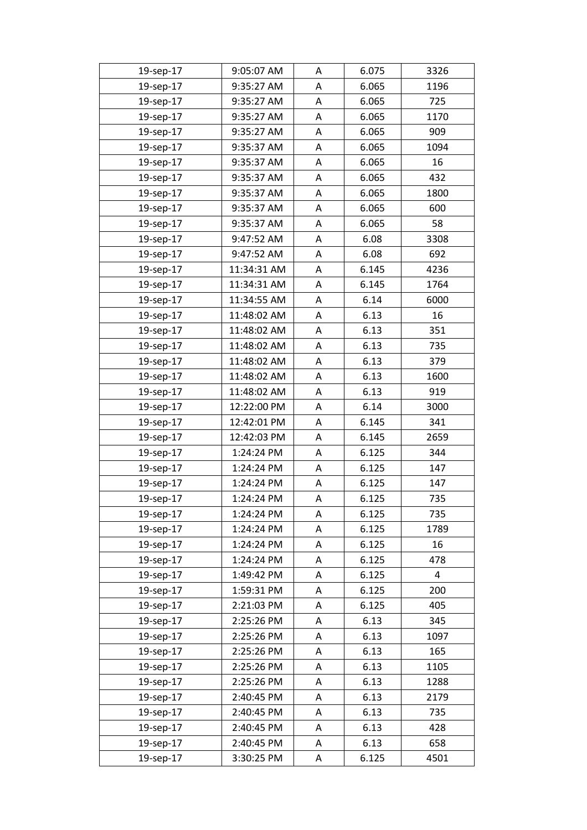| 19-sep-17 | 9:05:07 AM  | A | 6.075 | 3326           |
|-----------|-------------|---|-------|----------------|
| 19-sep-17 | 9:35:27 AM  | A | 6.065 | 1196           |
| 19-sep-17 | 9:35:27 AM  | A | 6.065 | 725            |
| 19-sep-17 | 9:35:27 AM  | A | 6.065 | 1170           |
| 19-sep-17 | 9:35:27 AM  | A | 6.065 | 909            |
| 19-sep-17 | 9:35:37 AM  | A | 6.065 | 1094           |
| 19-sep-17 | 9:35:37 AM  | Α | 6.065 | 16             |
| 19-sep-17 | 9:35:37 AM  | A | 6.065 | 432            |
| 19-sep-17 | 9:35:37 AM  | A | 6.065 | 1800           |
| 19-sep-17 | 9:35:37 AM  | Α | 6.065 | 600            |
| 19-sep-17 | 9:35:37 AM  | A | 6.065 | 58             |
| 19-sep-17 | 9:47:52 AM  | Α | 6.08  | 3308           |
| 19-sep-17 | 9:47:52 AM  | A | 6.08  | 692            |
| 19-sep-17 | 11:34:31 AM | A | 6.145 | 4236           |
| 19-sep-17 | 11:34:31 AM | A | 6.145 | 1764           |
| 19-sep-17 | 11:34:55 AM | Α | 6.14  | 6000           |
| 19-sep-17 | 11:48:02 AM | A | 6.13  | 16             |
| 19-sep-17 | 11:48:02 AM | A | 6.13  | 351            |
| 19-sep-17 | 11:48:02 AM | Α | 6.13  | 735            |
| 19-sep-17 | 11:48:02 AM | A | 6.13  | 379            |
| 19-sep-17 | 11:48:02 AM | A | 6.13  | 1600           |
| 19-sep-17 | 11:48:02 AM | A | 6.13  | 919            |
| 19-sep-17 | 12:22:00 PM | A | 6.14  | 3000           |
| 19-sep-17 | 12:42:01 PM | A | 6.145 | 341            |
| 19-sep-17 | 12:42:03 PM | Α | 6.145 | 2659           |
| 19-sep-17 | 1:24:24 PM  | A | 6.125 | 344            |
| 19-sep-17 | 1:24:24 PM  | A | 6.125 | 147            |
| 19-sep-17 | 1:24:24 PM  | Α | 6.125 | 147            |
| 19-sep-17 | 1:24:24 PM  | A | 6.125 | 735            |
| 19-sep-17 | 1:24:24 PM  | Α | 6.125 | 735            |
| 19-sep-17 | 1:24:24 PM  | Α | 6.125 | 1789           |
| 19-sep-17 | 1:24:24 PM  | Α | 6.125 | 16             |
| 19-sep-17 | 1:24:24 PM  | Α | 6.125 | 478            |
| 19-sep-17 | 1:49:42 PM  | Α | 6.125 | $\overline{a}$ |
| 19-sep-17 | 1:59:31 PM  | Α | 6.125 | 200            |
| 19-sep-17 | 2:21:03 PM  | Α | 6.125 | 405            |
| 19-sep-17 | 2:25:26 PM  | Α | 6.13  | 345            |
| 19-sep-17 | 2:25:26 PM  | Α | 6.13  | 1097           |
| 19-sep-17 | 2:25:26 PM  | Α | 6.13  | 165            |
| 19-sep-17 | 2:25:26 PM  | Α | 6.13  | 1105           |
| 19-sep-17 | 2:25:26 PM  | Α | 6.13  | 1288           |
| 19-sep-17 | 2:40:45 PM  | Α | 6.13  | 2179           |
| 19-sep-17 | 2:40:45 PM  | Α | 6.13  | 735            |
| 19-sep-17 | 2:40:45 PM  | Α | 6.13  | 428            |
| 19-sep-17 | 2:40:45 PM  | Α | 6.13  | 658            |
| 19-sep-17 | 3:30:25 PM  | Α | 6.125 | 4501           |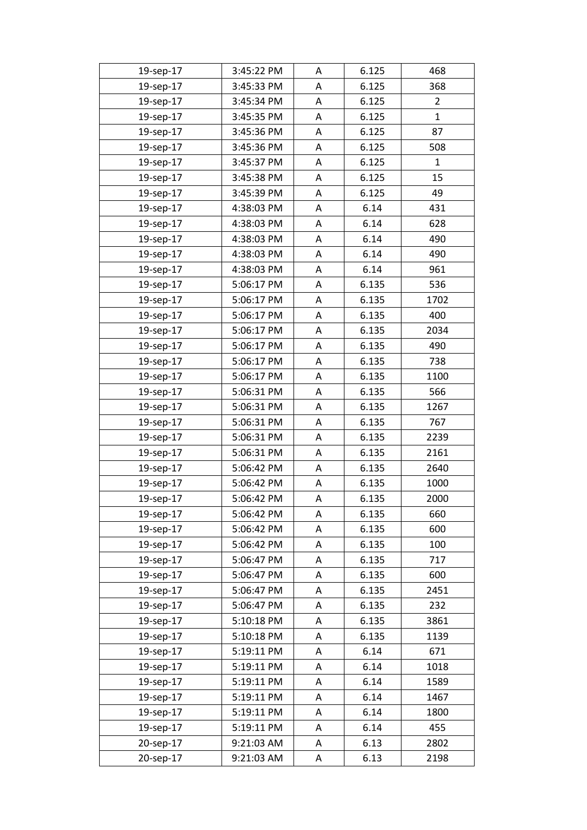| 19-sep-17 | 3:45:22 PM | Α | 6.125 | 468            |
|-----------|------------|---|-------|----------------|
| 19-sep-17 | 3:45:33 PM | Α | 6.125 | 368            |
| 19-sep-17 | 3:45:34 PM | Α | 6.125 | $\overline{2}$ |
| 19-sep-17 | 3:45:35 PM | Α | 6.125 | $\mathbf{1}$   |
| 19-sep-17 | 3:45:36 PM | Α | 6.125 | 87             |
| 19-sep-17 | 3:45:36 PM | Α | 6.125 | 508            |
| 19-sep-17 | 3:45:37 PM | Α | 6.125 | 1              |
| 19-sep-17 | 3:45:38 PM | Α | 6.125 | 15             |
| 19-sep-17 | 3:45:39 PM | Α | 6.125 | 49             |
| 19-sep-17 | 4:38:03 PM | Α | 6.14  | 431            |
| 19-sep-17 | 4:38:03 PM | A | 6.14  | 628            |
| 19-sep-17 | 4:38:03 PM | Α | 6.14  | 490            |
| 19-sep-17 | 4:38:03 PM | Α | 6.14  | 490            |
| 19-sep-17 | 4:38:03 PM | Α | 6.14  | 961            |
| 19-sep-17 | 5:06:17 PM | Α | 6.135 | 536            |
| 19-sep-17 | 5:06:17 PM | Α | 6.135 | 1702           |
| 19-sep-17 | 5:06:17 PM | Α | 6.135 | 400            |
| 19-sep-17 | 5:06:17 PM | Α | 6.135 | 2034           |
| 19-sep-17 | 5:06:17 PM | Α | 6.135 | 490            |
| 19-sep-17 | 5:06:17 PM | Α | 6.135 | 738            |
| 19-sep-17 | 5:06:17 PM | Α | 6.135 | 1100           |
| 19-sep-17 | 5:06:31 PM | Α | 6.135 | 566            |
| 19-sep-17 | 5:06:31 PM | Α | 6.135 | 1267           |
| 19-sep-17 | 5:06:31 PM | Α | 6.135 | 767            |
| 19-sep-17 | 5:06:31 PM | A | 6.135 | 2239           |
| 19-sep-17 | 5:06:31 PM | Α | 6.135 | 2161           |
| 19-sep-17 | 5:06:42 PM | Α | 6.135 | 2640           |
| 19-sep-17 | 5:06:42 PM | Α | 6.135 | 1000           |
| 19-sep-17 | 5:06:42 PM | Α | 6.135 | 2000           |
| 19-sep-17 | 5:06:42 PM | Α | 6.135 | 660            |
| 19-sep-17 | 5:06:42 PM | Α | 6.135 | 600            |
| 19-sep-17 | 5:06:42 PM | Α | 6.135 | 100            |
| 19-sep-17 | 5:06:47 PM | Α | 6.135 | 717            |
| 19-sep-17 | 5:06:47 PM | Α | 6.135 | 600            |
| 19-sep-17 | 5:06:47 PM | Α | 6.135 | 2451           |
| 19-sep-17 | 5:06:47 PM | Α | 6.135 | 232            |
| 19-sep-17 | 5:10:18 PM | A | 6.135 | 3861           |
| 19-sep-17 | 5:10:18 PM | A | 6.135 | 1139           |
| 19-sep-17 | 5:19:11 PM | А | 6.14  | 671            |
| 19-sep-17 | 5:19:11 PM | Α | 6.14  | 1018           |
| 19-sep-17 | 5:19:11 PM | А | 6.14  | 1589           |
| 19-sep-17 | 5:19:11 PM | Α | 6.14  | 1467           |
| 19-sep-17 | 5:19:11 PM | Α | 6.14  | 1800           |
| 19-sep-17 | 5:19:11 PM | Α | 6.14  | 455            |
| 20-sep-17 | 9:21:03 AM | Α | 6.13  | 2802           |
| 20-sep-17 | 9:21:03 AM | Α | 6.13  | 2198           |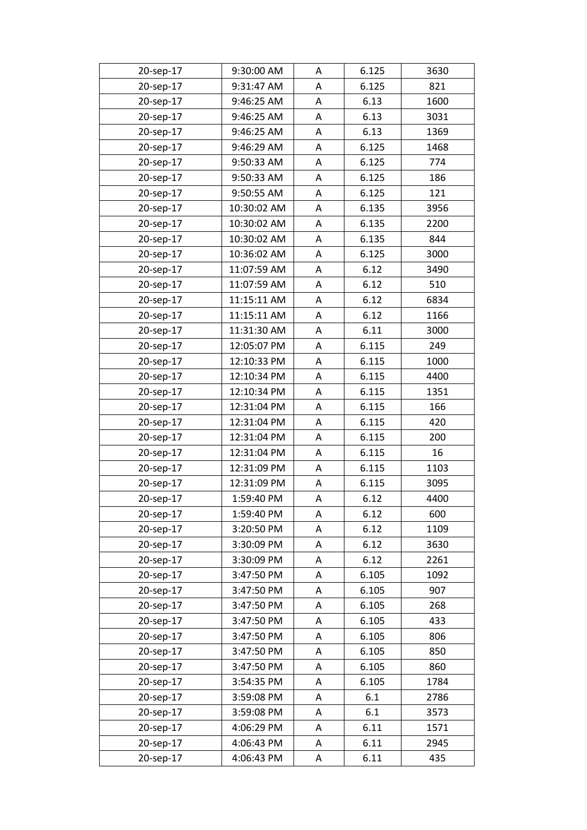| 20-sep-17 | 9:30:00 AM  | A | 6.125 | 3630 |
|-----------|-------------|---|-------|------|
| 20-sep-17 | 9:31:47 AM  | A | 6.125 | 821  |
| 20-sep-17 | 9:46:25 AM  | A | 6.13  | 1600 |
| 20-sep-17 | 9:46:25 AM  | A | 6.13  | 3031 |
| 20-sep-17 | 9:46:25 AM  | A | 6.13  | 1369 |
| 20-sep-17 | 9:46:29 AM  | A | 6.125 | 1468 |
| 20-sep-17 | 9:50:33 AM  | Α | 6.125 | 774  |
| 20-sep-17 | 9:50:33 AM  | A | 6.125 | 186  |
| 20-sep-17 | 9:50:55 AM  | A | 6.125 | 121  |
| 20-sep-17 | 10:30:02 AM | Α | 6.135 | 3956 |
| 20-sep-17 | 10:30:02 AM | A | 6.135 | 2200 |
| 20-sep-17 | 10:30:02 AM | A | 6.135 | 844  |
| 20-sep-17 | 10:36:02 AM | A | 6.125 | 3000 |
| 20-sep-17 | 11:07:59 AM | A | 6.12  | 3490 |
| 20-sep-17 | 11:07:59 AM | A | 6.12  | 510  |
| 20-sep-17 | 11:15:11 AM | Α | 6.12  | 6834 |
| 20-sep-17 | 11:15:11 AM | A | 6.12  | 1166 |
| 20-sep-17 | 11:31:30 AM | A | 6.11  | 3000 |
| 20-sep-17 | 12:05:07 PM | Α | 6.115 | 249  |
| 20-sep-17 | 12:10:33 PM | A | 6.115 | 1000 |
| 20-sep-17 | 12:10:34 PM | A | 6.115 | 4400 |
| 20-sep-17 | 12:10:34 PM | Α | 6.115 | 1351 |
| 20-sep-17 | 12:31:04 PM | A | 6.115 | 166  |
| 20-sep-17 | 12:31:04 PM | A | 6.115 | 420  |
| 20-sep-17 | 12:31:04 PM | Α | 6.115 | 200  |
| 20-sep-17 | 12:31:04 PM | A | 6.115 | 16   |
| 20-sep-17 | 12:31:09 PM | A | 6.115 | 1103 |
| 20-sep-17 | 12:31:09 PM | Α | 6.115 | 3095 |
| 20-sep-17 | 1:59:40 PM  | A | 6.12  | 4400 |
| 20-sep-17 | 1:59:40 PM  | Α | 6.12  | 600  |
| 20-sep-17 | 3:20:50 PM  | Α | 6.12  | 1109 |
| 20-sep-17 | 3:30:09 PM  | Α | 6.12  | 3630 |
| 20-sep-17 | 3:30:09 PM  | Α | 6.12  | 2261 |
| 20-sep-17 | 3:47:50 PM  | Α | 6.105 | 1092 |
| 20-sep-17 | 3:47:50 PM  | Α | 6.105 | 907  |
| 20-sep-17 | 3:47:50 PM  | Α | 6.105 | 268  |
| 20-sep-17 | 3:47:50 PM  | Α | 6.105 | 433  |
| 20-sep-17 | 3:47:50 PM  | Α | 6.105 | 806  |
| 20-sep-17 | 3:47:50 PM  | Α | 6.105 | 850  |
| 20-sep-17 | 3:47:50 PM  | Α | 6.105 | 860  |
| 20-sep-17 | 3:54:35 PM  | Α | 6.105 | 1784 |
| 20-sep-17 | 3:59:08 PM  | Α | 6.1   | 2786 |
| 20-sep-17 | 3:59:08 PM  | Α | 6.1   | 3573 |
| 20-sep-17 | 4:06:29 PM  | Α | 6.11  | 1571 |
| 20-sep-17 | 4:06:43 PM  | Α | 6.11  | 2945 |
| 20-sep-17 | 4:06:43 PM  | Α | 6.11  | 435  |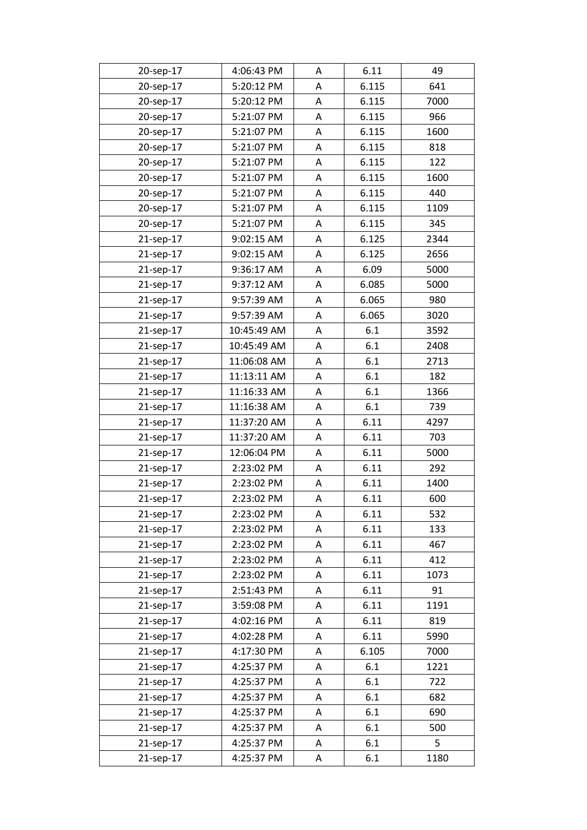| 20-sep-17 | 4:06:43 PM  | Α | 6.11  | 49   |
|-----------|-------------|---|-------|------|
| 20-sep-17 | 5:20:12 PM  | Α | 6.115 | 641  |
| 20-sep-17 | 5:20:12 PM  | A | 6.115 | 7000 |
| 20-sep-17 | 5:21:07 PM  | Α | 6.115 | 966  |
| 20-sep-17 | 5:21:07 PM  | Α | 6.115 | 1600 |
| 20-sep-17 | 5:21:07 PM  | Α | 6.115 | 818  |
| 20-sep-17 | 5:21:07 PM  | Α | 6.115 | 122  |
| 20-sep-17 | 5:21:07 PM  | A | 6.115 | 1600 |
| 20-sep-17 | 5:21:07 PM  | Α | 6.115 | 440  |
| 20-sep-17 | 5:21:07 PM  | Α | 6.115 | 1109 |
| 20-sep-17 | 5:21:07 PM  | A | 6.115 | 345  |
| 21-sep-17 | 9:02:15 AM  | Α | 6.125 | 2344 |
| 21-sep-17 | 9:02:15 AM  | Α | 6.125 | 2656 |
| 21-sep-17 | 9:36:17 AM  | Α | 6.09  | 5000 |
| 21-sep-17 | 9:37:12 AM  | Α | 6.085 | 5000 |
| 21-sep-17 | 9:57:39 AM  | Α | 6.065 | 980  |
| 21-sep-17 | 9:57:39 AM  | Α | 6.065 | 3020 |
| 21-sep-17 | 10:45:49 AM | A | 6.1   | 3592 |
| 21-sep-17 | 10:45:49 AM | Α | 6.1   | 2408 |
| 21-sep-17 | 11:06:08 AM | A | 6.1   | 2713 |
| 21-sep-17 | 11:13:11 AM | A | 6.1   | 182  |
| 21-sep-17 | 11:16:33 AM | Α | 6.1   | 1366 |
| 21-sep-17 | 11:16:38 AM | A | 6.1   | 739  |
| 21-sep-17 | 11:37:20 AM | Α | 6.11  | 4297 |
| 21-sep-17 | 11:37:20 AM | Α | 6.11  | 703  |
| 21-sep-17 | 12:06:04 PM | Α | 6.11  | 5000 |
| 21-sep-17 | 2:23:02 PM  | Α | 6.11  | 292  |
| 21-sep-17 | 2:23:02 PM  | Α | 6.11  | 1400 |
| 21-sep-17 | 2:23:02 PM  | Α | 6.11  | 600  |
| 21-sep-17 | 2:23:02 PM  | Α | 6.11  | 532  |
| 21-sep-17 | 2:23:02 PM  | Α | 6.11  | 133  |
| 21-sep-17 | 2:23:02 PM  | Α | 6.11  | 467  |
| 21-sep-17 | 2:23:02 PM  | Α | 6.11  | 412  |
| 21-sep-17 | 2:23:02 PM  | Α | 6.11  | 1073 |
| 21-sep-17 | 2:51:43 PM  | Α | 6.11  | 91   |
| 21-sep-17 | 3:59:08 PM  | Α | 6.11  | 1191 |
| 21-sep-17 | 4:02:16 PM  | A | 6.11  | 819  |
| 21-sep-17 | 4:02:28 PM  | Α | 6.11  | 5990 |
| 21-sep-17 | 4:17:30 PM  | Α | 6.105 | 7000 |
| 21-sep-17 | 4:25:37 PM  | Α | 6.1   | 1221 |
| 21-sep-17 | 4:25:37 PM  | Α | 6.1   | 722  |
| 21-sep-17 | 4:25:37 PM  | Α | 6.1   | 682  |
| 21-sep-17 | 4:25:37 PM  | Α | 6.1   | 690  |
| 21-sep-17 | 4:25:37 PM  | Α | 6.1   | 500  |
| 21-sep-17 | 4:25:37 PM  | Α | 6.1   | 5    |
| 21-sep-17 | 4:25:37 PM  | Α | 6.1   | 1180 |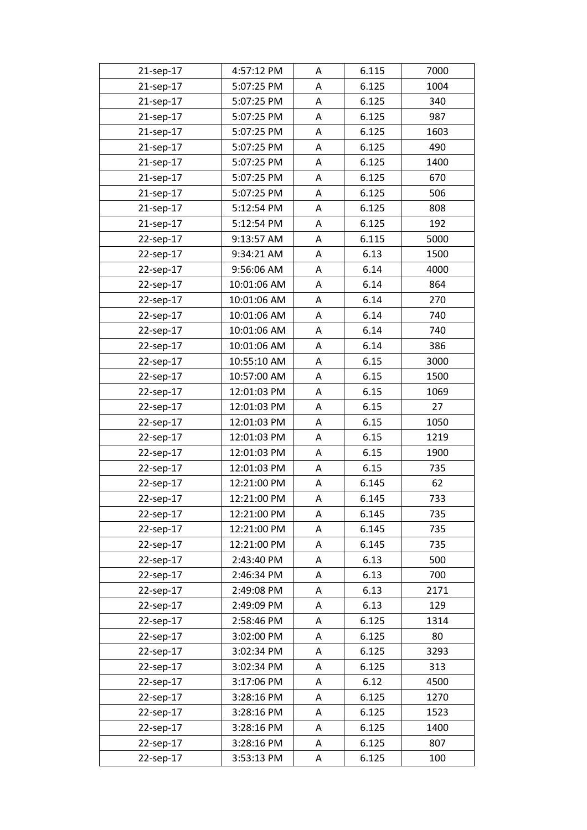| 21-sep-17 | 4:57:12 PM  | Α | 6.115 | 7000 |
|-----------|-------------|---|-------|------|
| 21-sep-17 | 5:07:25 PM  | Α | 6.125 | 1004 |
| 21-sep-17 | 5:07:25 PM  | Α | 6.125 | 340  |
| 21-sep-17 | 5:07:25 PM  | Α | 6.125 | 987  |
| 21-sep-17 | 5:07:25 PM  | Α | 6.125 | 1603 |
| 21-sep-17 | 5:07:25 PM  | Α | 6.125 | 490  |
| 21-sep-17 | 5:07:25 PM  | Α | 6.125 | 1400 |
| 21-sep-17 | 5:07:25 PM  | A | 6.125 | 670  |
| 21-sep-17 | 5:07:25 PM  | A | 6.125 | 506  |
| 21-sep-17 | 5:12:54 PM  | Α | 6.125 | 808  |
| 21-sep-17 | 5:12:54 PM  | A | 6.125 | 192  |
| 22-sep-17 | 9:13:57 AM  | Α | 6.115 | 5000 |
| 22-sep-17 | 9:34:21 AM  | Α | 6.13  | 1500 |
| 22-sep-17 | 9:56:06 AM  | A | 6.14  | 4000 |
| 22-sep-17 | 10:01:06 AM | Α | 6.14  | 864  |
| 22-sep-17 | 10:01:06 AM | Α | 6.14  | 270  |
| 22-sep-17 | 10:01:06 AM | A | 6.14  | 740  |
| 22-sep-17 | 10:01:06 AM | A | 6.14  | 740  |
| 22-sep-17 | 10:01:06 AM | Α | 6.14  | 386  |
| 22-sep-17 | 10:55:10 AM | Α | 6.15  | 3000 |
| 22-sep-17 | 10:57:00 AM | A | 6.15  | 1500 |
| 22-sep-17 | 12:01:03 PM | Α | 6.15  | 1069 |
| 22-sep-17 | 12:01:03 PM | A | 6.15  | 27   |
| 22-sep-17 | 12:01:03 PM | Α | 6.15  | 1050 |
| 22-sep-17 | 12:01:03 PM | Α | 6.15  | 1219 |
| 22-sep-17 | 12:01:03 PM | Α | 6.15  | 1900 |
| 22-sep-17 | 12:01:03 PM | A | 6.15  | 735  |
| 22-sep-17 | 12:21:00 PM | Α | 6.145 | 62   |
| 22-sep-17 | 12:21:00 PM | Α | 6.145 | 733  |
| 22-sep-17 | 12:21:00 PM | Α | 6.145 | 735  |
| 22-sep-17 | 12:21:00 PM | Α | 6.145 | 735  |
| 22-sep-17 | 12:21:00 PM | Α | 6.145 | 735  |
| 22-sep-17 | 2:43:40 PM  | Α | 6.13  | 500  |
| 22-sep-17 | 2:46:34 PM  | Α | 6.13  | 700  |
| 22-sep-17 | 2:49:08 PM  | Α | 6.13  | 2171 |
| 22-sep-17 | 2:49:09 PM  | Α | 6.13  | 129  |
| 22-sep-17 | 2:58:46 PM  | Α | 6.125 | 1314 |
| 22-sep-17 | 3:02:00 PM  | Α | 6.125 | 80   |
| 22-sep-17 | 3:02:34 PM  | Α | 6.125 | 3293 |
| 22-sep-17 | 3:02:34 PM  | Α | 6.125 | 313  |
| 22-sep-17 | 3:17:06 PM  | Α | 6.12  | 4500 |
| 22-sep-17 | 3:28:16 PM  | Α | 6.125 | 1270 |
| 22-sep-17 | 3:28:16 PM  | Α | 6.125 | 1523 |
| 22-sep-17 | 3:28:16 PM  | Α | 6.125 | 1400 |
| 22-sep-17 | 3:28:16 PM  | Α | 6.125 | 807  |
| 22-sep-17 | 3:53:13 PM  | Α | 6.125 | 100  |